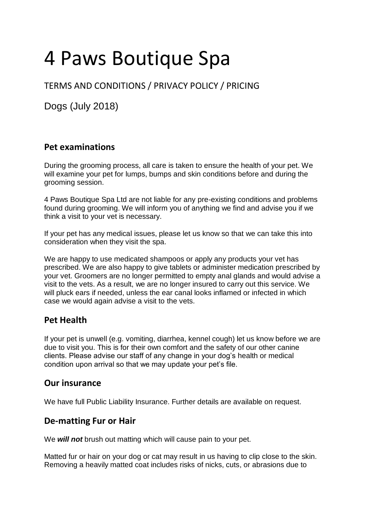# 4 Paws Boutique Spa

## TERMS AND CONDITIONS / PRIVACY POLICY / PRICING

Dogs (July 2018)

## **Pet examinations**

During the grooming process, all care is taken to ensure the health of your pet. We will examine your pet for lumps, bumps and skin conditions before and during the grooming session.

4 Paws Boutique Spa Ltd are not liable for any pre-existing conditions and problems found during grooming. We will inform you of anything we find and advise you if we think a visit to your vet is necessary.

If your pet has any medical issues, please let us know so that we can take this into consideration when they visit the spa.

We are happy to use medicated shampoos or apply any products your vet has prescribed. We are also happy to give tablets or administer medication prescribed by your vet. Groomers are no longer permitted to empty anal glands and would advise a visit to the vets. As a result, we are no longer insured to carry out this service. We will pluck ears if needed, unless the ear canal looks inflamed or infected in which case we would again advise a visit to the vets.

## **Pet Health**

If your pet is unwell (e.g. vomiting, diarrhea, kennel cough) let us know before we are due to visit you. This is for their own comfort and the safety of our other canine clients. Please advise our staff of any change in your dog's health or medical condition upon arrival so that we may update your pet's file.

## **Our insurance**

We have full Public Liability Insurance. Further details are available on request.

## **De-matting Fur or Hair**

We *will not* brush out matting which will cause pain to your pet.

Matted fur or hair on your dog or cat may result in us having to clip close to the skin. Removing a heavily matted coat includes risks of nicks, cuts, or abrasions due to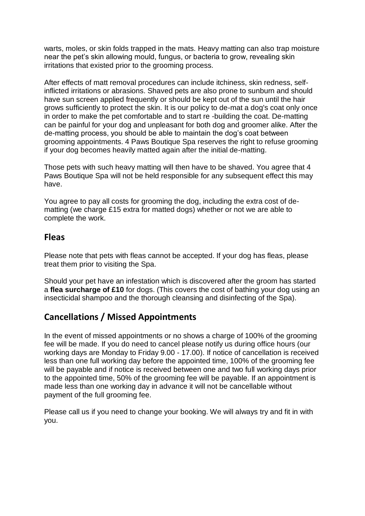warts, moles, or skin folds trapped in the mats. Heavy matting can also trap moisture near the pet's skin allowing mould, fungus, or bacteria to grow, revealing skin irritations that existed prior to the grooming process.

After effects of matt removal procedures can include itchiness, skin redness, selfinflicted irritations or abrasions. Shaved pets are also prone to sunburn and should have sun screen applied frequently or should be kept out of the sun until the hair grows sufficiently to protect the skin. It is our policy to de-mat a dog's coat only once in order to make the pet comfortable and to start re -building the coat. De-matting can be painful for your dog and unpleasant for both dog and groomer alike. After the de-matting process, you should be able to maintain the dog's coat between grooming appointments. 4 Paws Boutique Spa reserves the right to refuse grooming if your dog becomes heavily matted again after the initial de-matting.

Those pets with such heavy matting will then have to be shaved. You agree that 4 Paws Boutique Spa will not be held responsible for any subsequent effect this may have.

You agree to pay all costs for grooming the dog, including the extra cost of dematting (we charge £15 extra for matted dogs) whether or not we are able to complete the work.

#### **Fleas**

Please note that pets with fleas cannot be accepted. If your dog has fleas, please treat them prior to visiting the Spa.

Should your pet have an infestation which is discovered after the groom has started a **flea surcharge of £10** for dogs. (This covers the cost of bathing your dog using an insecticidal shampoo and the thorough cleansing and disinfecting of the Spa).

## **Cancellations / Missed Appointments**

In the event of missed appointments or no shows a charge of 100% of the grooming fee will be made. If you do need to cancel please notify us during office hours (our working days are Monday to Friday 9.00 - 17.00). If notice of cancellation is received less than one full working day before the appointed time, 100% of the grooming fee will be payable and if notice is received between one and two full working days prior to the appointed time, 50% of the grooming fee will be payable. If an appointment is made less than one working day in advance it will not be cancellable without payment of the full grooming fee.

Please call us if you need to change your booking. We will always try and fit in with you.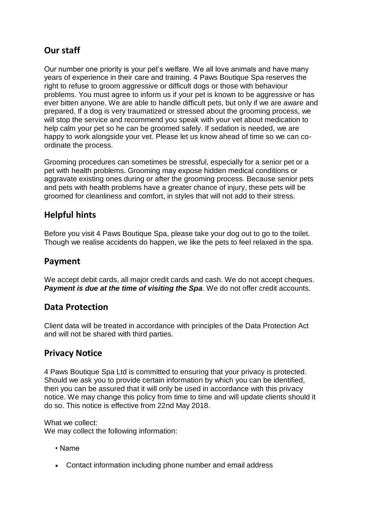## **Our staff**

Our number one priority is your pet's welfare. We all love animals and have many years of experience in their care and training. 4 Paws Boutique Spa reserves the right to refuse to groom aggressive or difficult dogs or those with behaviour problems. You must agree to inform us if your pet is known to be aggressive or has ever bitten anyone. We are able to handle difficult pets, but only if we are aware and prepared. If a dog is very traumatized or stressed about the grooming process, we will stop the service and recommend you speak with your vet about medication to help calm your pet so he can be groomed safely. If sedation is needed, we are happy to work alongside your vet. Please let us know ahead of time so we can coordinate the process.

Grooming procedures can sometimes be stressful, especially for a senior pet or a pet with health problems. Grooming may expose hidden medical conditions or aggravate existing ones during or after the grooming process. Because senior pets and pets with health problems have a greater chance of injury, these pets will be groomed for cleanliness and comfort, in styles that will not add to their stress.

## **Helpful hints**

Before you visit 4 Paws Boutique Spa, please take your dog out to go to the toilet. Though we realise accidents do happen, we like the pets to feel relaxed in the spa.

## **Payment**

We accept debit cards, all major credit cards and cash. We do not accept cheques. **Payment is due at the time of visiting the Spa.** We do not offer credit accounts.

#### **Data Protection**

Client data will be treated in accordance with principles of the Data Protection Act and will not be shared with third parties.

## **Privacy Notice**

4 Paws Boutique Spa Ltd is committed to ensuring that your privacy is protected. Should we ask you to provide certain information by which you can be identified, then you can be assured that it will only be used in accordance with this privacy notice. We may change this policy from time to time and will update clients should it do so. This notice is effective from 22nd May 2018.

What we collect:

We may collect the following information:

- Name
- Contact information including phone number and email address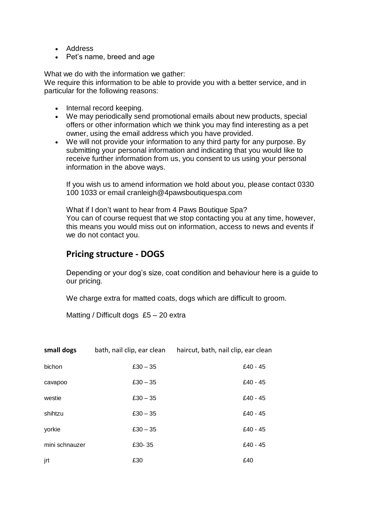- Address
- Pet's name, breed and age

What we do with the information we gather:

We require this information to be able to provide you with a better service, and in particular for the following reasons:

- Internal record keeping.
- We may periodically send promotional emails about new products, special offers or other information which we think you may find interesting as a pet owner, using the email address which you have provided.
- We will not provide your information to any third party for any purpose. By submitting your personal information and indicating that you would like to receive further information from us, you consent to us using your personal information in the above ways.

If you wish us to amend information we hold about you, please contact 0330 100 1033 or email cranleigh@4pawsboutiquespa.com

What if I don't want to hear from 4 Paws Boutique Spa? You can of course request that we stop contacting you at any time, however, this means you would miss out on information, access to news and events if we do not contact you.

#### **Pricing structure - DOGS**

Depending or your dog's size, coat condition and behaviour here is a guide to our pricing.

We charge extra for matted coats, dogs which are difficult to groom.

Matting / Difficult dogs £5 – 20 extra

| small dogs     | bath, nail clip, ear clean | haircut, bath, nail clip, ear clean |
|----------------|----------------------------|-------------------------------------|
| bichon         | $£30 - 35$                 | £40 - 45                            |
| cavapoo        | $£30 - 35$                 | £40 - 45                            |
| westie         | $£30 - 35$                 | £40 - 45                            |
| shihtzu        | $£30 - 35$                 | £40 - 45                            |
| yorkie         | $£30 - 35$                 | £40 - 45                            |
| mini schnauzer | £30-35                     | £40 - 45                            |
| jrt            | £30                        | £40                                 |